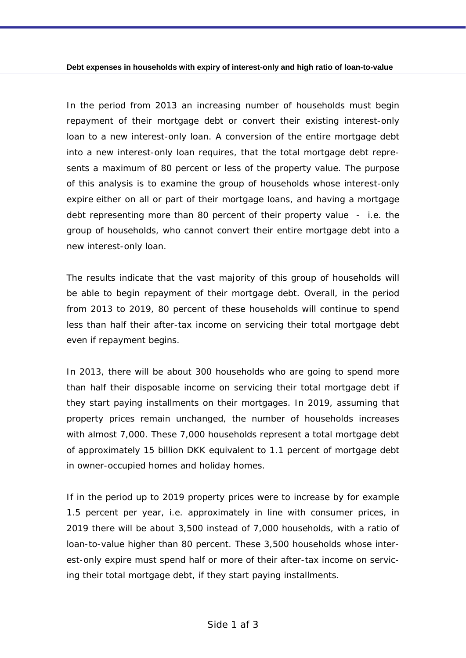In the period from 2013 an increasing number of households must begin *repayment of their mortgage debt or convert their existing interest-only loan to a new interest-only loan. A conversion of the entire mortgage debt into a new interest-only loan requires, that the total mortgage debt represents a maximum of 80 percent or less of the property value. The purpose of this analysis is to examine the group of households whose interest-only expire either on all or part of their mortgage loans, and having a mortgage debt representing more than 80 percent of their property value - i.e. the group of households, who cannot convert their entire mortgage debt into a new interest-only loan.* 

*The results indicate that the vast majority of this group of households will*  be able to begin repayment of their mortgage debt. Overall, in the period *from 2013 to 2019, 80 percent of these households will continue to spend less than half their after-tax income on servicing their total mortgage debt even if repayment begins.* 

*In 2013, there will be about 300 households who are going to spend more than half their disposable income on servicing their total mortgage debt if they start paying installments on their mortgages. In 2019, assuming that property prices remain unchanged, the number of households increases with almost 7,000. These 7,000 households represent a total mortgage debt of approximately 15 billion DKK equivalent to 1.1 percent of mortgage debt in owner-occupied homes and holiday homes.* 

*If in the period up to 2019 property prices were to increase by for example 1.5 percent per year, i.e. approximately in line with consumer prices, in 2019 there will be about 3,500 instead of 7,000 households, with a ratio of loan-to-value higher than 80 percent. These 3,500 households whose interest-only expire must spend half or more of their after-tax income on servicing their total mortgage debt, if they start paying installments.*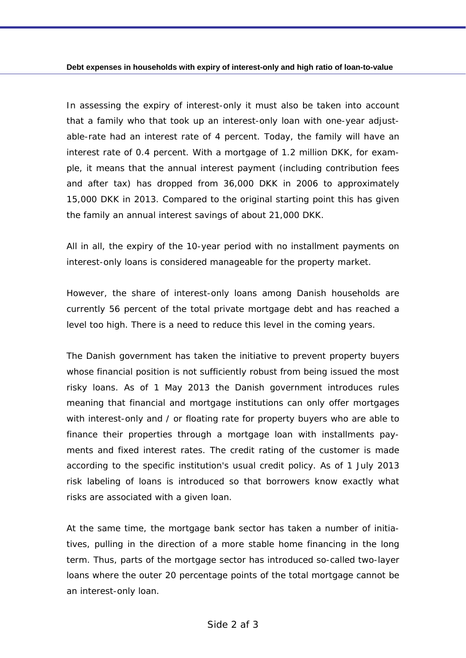*In assessing the expiry of interest-only it must also be taken into account that a family who that took up an interest-only loan with one-year adjust*able-rate had an interest rate of 4 percent. Today, the family will have an *interest rate of 0.4 percent. With a mortgage of 1.2 million DKK, for example, it means that the annual interest payment (including contribution fees and after tax) has dropped from 36,000 DKK in 2006 to approximately 15,000 DKK in 2013. Compared to the original starting point this has given the family an annual interest savings of about 21,000 DKK.* 

*All in all, the expiry of the 10-year period with no installment payments on interest-only loans is considered manageable for the property market.* 

*However, the share of interest-only loans among Danish households are currently 56 percent of the total private mortgage debt and has reached a level too high. There is a need to reduce this level in the coming years.* 

*The Danish government has taken the initiative to prevent property buyers whose financial position is not sufficiently robust from being issued the most risky loans. As of 1 May 2013 the Danish government introduces rules meaning that financial and mortgage institutions can only offer mortgages with interest-only and / or floating rate for property buyers who are able to finance their properties through a mortgage loan with installments payments and fixed interest rates. The credit rating of the customer is made according to the specific institution's usual credit policy. As of 1 July 2013*  risk labeling of loans is introduced so that borrowers know exactly what *risks are associated with a given loan.* 

*At the same time, the mortgage bank sector has taken a number of initiatives, pulling in the direction of a more stable home financing in the long term. Thus, parts of the mortgage sector has introduced so-called two-layer loans where the outer 20 percentage points of the total mortgage cannot be an interest-only loan.*